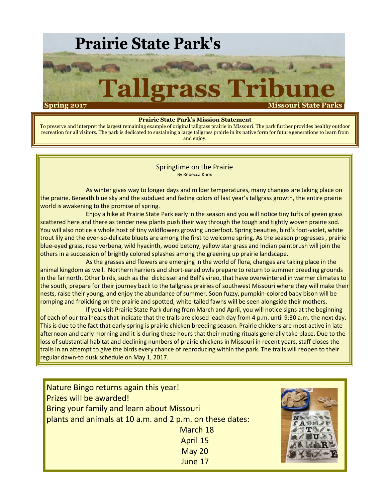

#### **Prairie State Park's Mission Statement**

To preserve and interpret the largest remaining example of original tallgrass prairie in Missouri. The park further provides healthy outdoor recreation for all visitors. The park is dedicated to sustaining a large tallgrass prairie in its native form for future generations to learn from and enjoy.

> Springtime on the Prairie By Rebecca Knox

As winter gives way to longer days and milder temperatures, many changes are taking place on the prairie. Beneath blue sky and the subdued and fading colors of last year's tallgrass growth, the entire prairie world is awakening to the promise of spring.

Enjoy a hike at Prairie State Park early in the season and you will notice tiny tufts of green grass scattered here and there as tender new plants push their way through the tough and tightly woven prairie sod. You will also notice a whole host of tiny wildflowers growing underfoot. Spring beauties, bird's foot-violet, white trout lily and the ever-so-delicate bluets are among the first to welcome spring. As the season progresses , prairie blue-eyed grass, rose verbena, wild hyacinth, wood betony, yellow star grass and Indian paintbrush will join the others in a succession of brightly colored splashes among the greening up prairie landscape.

As the grasses and flowers are emerging in the world of flora, changes are taking place in the animal kingdom as well. Northern harriers and short-eared owls prepare to return to summer breeding grounds in the far north. Other birds, such as the dickcissel and Bell's vireo, that have overwintered in warmer climates to the south, prepare for their journey back to the tallgrass prairies of southwest Missouri where they will make their nests, raise their young, and enjoy the abundance of summer. Soon fuzzy, pumpkin-colored baby bison will be romping and frolicking on the prairie and spotted, white-tailed fawns will be seen alongside their mothers.

If you visit Prairie State Park during from March and April, you will notice signs at the beginning of each of our trailheads that indicate that the trails are closed each day from 4 p.m. until 9:30 a.m. the next day. This is due to the fact that early spring is prairie chicken breeding season. Prairie chickens are most active in late afternoon and early morning and it is during these hours that their mating rituals generally take place. Due to the loss of substantial habitat and declining numbers of prairie chickens in Missouri in recent years, staff closes the trails in an attempt to give the birds every chance of reproducing within the park. The trails will reopen to their regular dawn-to dusk schedule on May 1, 2017.

Nature Bingo returns again this year! Prizes will be awarded! Bring your family and learn about Missouri plants and animals at 10 a.m. and 2 p.m. on these dates: March 18 April 15 May 20 June 17

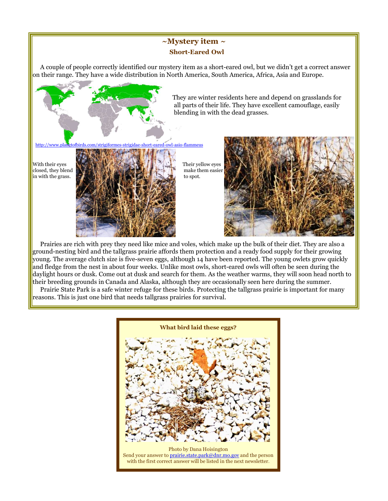### **~Mystery item ~ Short-Eared Owl**

A couple of people correctly identified our mystery item as a short-eared owl, but we didn't get a correct answer on their range. They have a wide distribution in North America, South America, Africa, Asia and Europe.



Prairies are rich with prey they need like mice and voles, which make up the bulk of their diet. They are also a ground-nesting bird and the tallgrass prairie affords them protection and a ready food supply for their growing young. The average clutch size is five-seven eggs, although 14 have been reported. The young owlets grow quickly and fledge from the nest in about four weeks. Unlike most owls, short-eared owls will often be seen during the daylight hours or dusk. Come out at dusk and search for them. As the weather warms, they will soon head north to their breeding grounds in Canada and Alaska, although they are occasionally seen here during the summer.

Prairie State Park is a safe winter refuge for these birds. Protecting the tallgrass prairie is important for many reasons. This is just one bird that needs tallgrass prairies for survival.

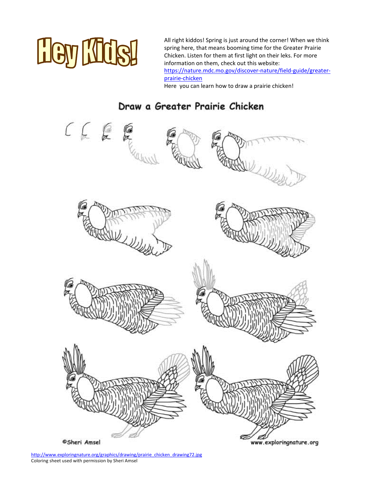

All right kiddos! Spring is just around the corner! When we think spring here, that means booming time for the Greater Prairie Chicken. Listen for them at first light on their leks. For more information on them, check out this website: https://nature.mdc.mo.gov/discover-nature/field-guide/greaterprairie-chicken

Here you can learn how to draw a prairie chicken!

## Draw a Greater Prairie Chicken



http://www.exploringnature.org/graphics/drawing/prairie\_chicken\_drawing72.jpg Coloring sheet used with permission by Sheri Amsel